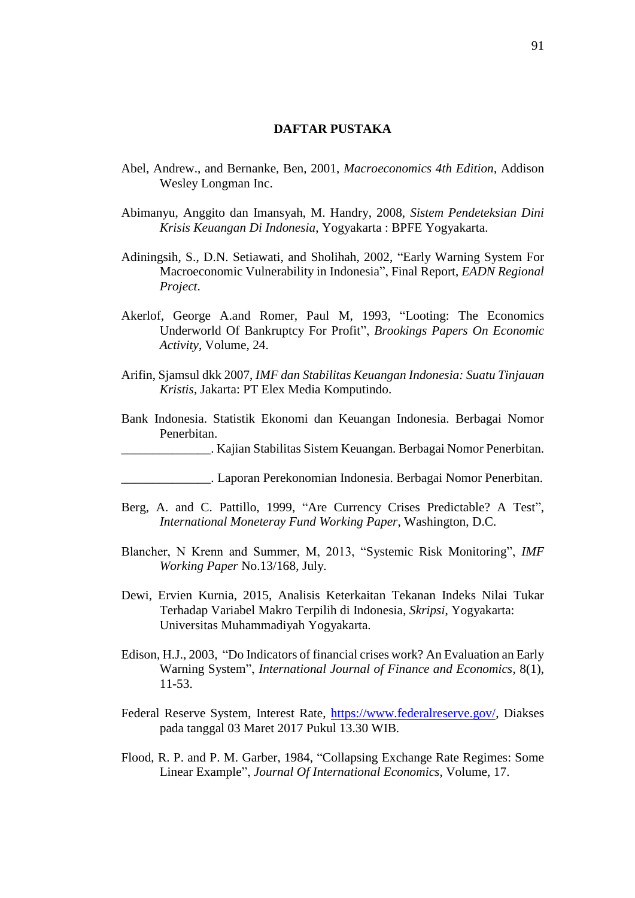## **DAFTAR PUSTAKA**

- Abel, Andrew., and Bernanke, Ben, 2001, *Macroeconomics 4th Edition*, Addison Wesley Longman Inc.
- Abimanyu, Anggito dan Imansyah, M. Handry, 2008, *Sistem Pendeteksian Dini Krisis Keuangan Di Indonesia*, Yogyakarta : BPFE Yogyakarta.
- Adiningsih, S., D.N. Setiawati, and Sholihah, 2002, "Early Warning System For Macroeconomic Vulnerability in Indonesia", Final Report, *EADN Regional Project*.
- Akerlof, George A.and Romer, Paul M, 1993*,* "Looting: The Economics Underworld Of Bankruptcy For Profit", *Brookings Papers On Economic Activity*, Volume, 24.
- Arifin, Sjamsul dkk 2007, *IMF dan Stabilitas Keuangan Indonesia: Suatu Tinjauan Kristis*, Jakarta: PT Elex Media Komputindo.
- Bank Indonesia. Statistik Ekonomi dan Keuangan Indonesia. Berbagai Nomor Penerbitan.
- \_\_\_\_\_\_\_\_\_\_\_\_\_\_. Kajian Stabilitas Sistem Keuangan. Berbagai Nomor Penerbitan.
	- \_\_\_\_\_\_\_\_\_\_\_\_\_\_. Laporan Perekonomian Indonesia. Berbagai Nomor Penerbitan.
- Berg, A. and C. Pattillo, 1999, "Are Currency Crises Predictable? A Test", *International Moneteray Fund Working Paper*, Washington, D.C.
- Blancher, N Krenn and Summer, M, 2013, "Systemic Risk Monitoring", *IMF Working Paper* No.13/168, July.
- Dewi, Ervien Kurnia, 2015, Analisis Keterkaitan Tekanan Indeks Nilai Tukar Terhadap Variabel Makro Terpilih di Indonesia, *Skripsi*, Yogyakarta: Universitas Muhammadiyah Yogyakarta.
- Edison, H.J., 2003, "Do Indicators of financial crises work? An Evaluation an Early Warning System", *International Journal of Finance and Economics*, 8(1), 11-53.
- Federal Reserve System, Interest Rate, [https://www.federalreserve.gov/,](https://www.federalreserve.gov/) Diakses pada tanggal 03 Maret 2017 Pukul 13.30 WIB.
- Flood, R. P. and P. M. Garber, 1984, "Collapsing Exchange Rate Regimes: Some Linear Example", *Journal Of International Economics*, Volume, 17.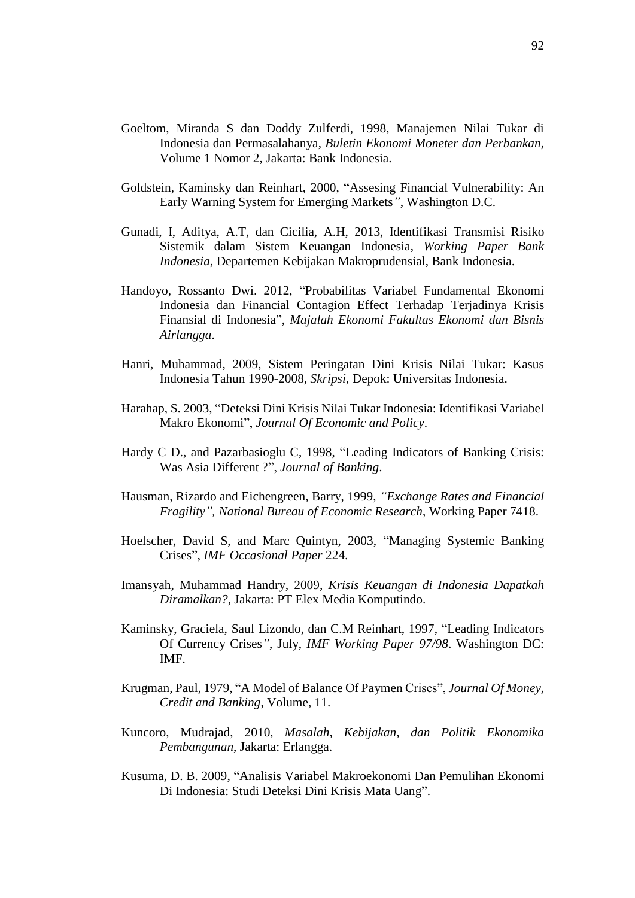- Goeltom, Miranda S dan Doddy Zulferdi, 1998, Manajemen Nilai Tukar di Indonesia dan Permasalahanya, *Buletin Ekonomi Moneter dan Perbankan*, Volume 1 Nomor 2, Jakarta: Bank Indonesia.
- Goldstein, Kaminsky dan Reinhart, 2000, "Assesing Financial Vulnerability: An Early Warning System for Emerging Markets*"*, Washington D.C.
- Gunadi, I, Aditya, A.T, dan Cicilia, A.H, 2013, Identifikasi Transmisi Risiko Sistemik dalam Sistem Keuangan Indonesia, *Working Paper Bank Indonesia*, Departemen Kebijakan Makroprudensial, Bank Indonesia.
- Handoyo, Rossanto Dwi. 2012, "Probabilitas Variabel Fundamental Ekonomi Indonesia dan Financial Contagion Effect Terhadap Terjadinya Krisis Finansial di Indonesia", *Majalah Ekonomi Fakultas Ekonomi dan Bisnis Airlangga*.
- Hanri, Muhammad, 2009, Sistem Peringatan Dini Krisis Nilai Tukar: Kasus Indonesia Tahun 1990-2008, *Skripsi*, Depok: Universitas Indonesia.
- Harahap, S. 2003, "Deteksi Dini Krisis Nilai Tukar Indonesia: Identifikasi Variabel Makro Ekonomi", *Journal Of Economic and Policy*.
- Hardy C D., and Pazarbasioglu C, 1998, "Leading Indicators of Banking Crisis: Was Asia Different ?", *Journal of Banking*.
- Hausman, Rizardo and Eichengreen, Barry, 1999, *"Exchange Rates and Financial Fragility", National Bureau of Economic Research*, Working Paper 7418.
- Hoelscher, David S, and Marc Quintyn, 2003, "Managing Systemic Banking Crises", *IMF Occasional Paper* 224.
- Imansyah, Muhammad Handry, 2009, *Krisis Keuangan di Indonesia Dapatkah Diramalkan?,* Jakarta: PT Elex Media Komputindo.
- Kaminsky, Graciela, Saul Lizondo, dan C.M Reinhart, 1997, "Leading Indicators Of Currency Crises*"*, July, *IMF Working Paper 97/98*. Washington DC: IMF.
- Krugman, Paul, 1979, "A Model of Balance Of Paymen Crises", *Journal Of Money, Credit and Banking*, Volume, 11.
- Kuncoro, Mudrajad, 2010, *Masalah, Kebijakan, dan Politik Ekonomika Pembangunan*, Jakarta: Erlangga.
- Kusuma, D. B. 2009, "Analisis Variabel Makroekonomi Dan Pemulihan Ekonomi Di Indonesia: Studi Deteksi Dini Krisis Mata Uang".